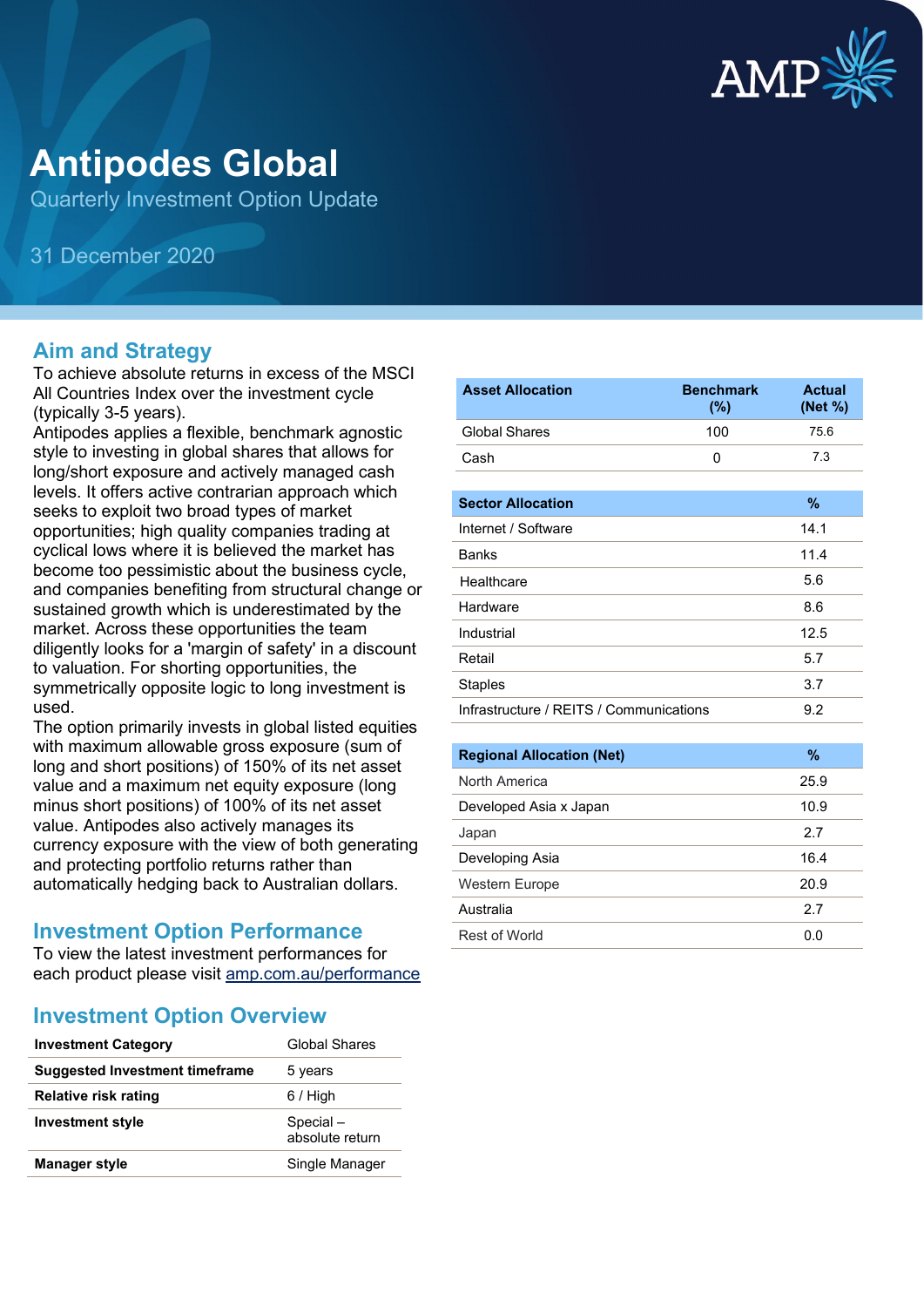

# **Antipodes Global**

Quarterly Investment Option Update

31 December 2020

#### **Aim and Strategy**

To achieve absolute returns in excess of the MSCI All Countries Index over the investment cycle (typically 3-5 years).

Antipodes applies a flexible, benchmark agnostic style to investing in global shares that allows for long/short exposure and actively managed cash levels. It offers active contrarian approach which seeks to exploit two broad types of market opportunities; high quality companies trading at cyclical lows where it is believed the market has become too pessimistic about the business cycle, and companies benefiting from structural change or sustained growth which is underestimated by the market. Across these opportunities the team diligently looks for a 'margin of safety' in a discount to valuation. For shorting opportunities, the symmetrically opposite logic to long investment is used.

The option primarily invests in global listed equities with maximum allowable gross exposure (sum of long and short positions) of 150% of its net asset value and a maximum net equity exposure (long minus short positions) of 100% of its net asset value. Antipodes also actively manages its currency exposure with the view of both generating and protecting portfolio returns rather than automatically hedging back to Australian dollars.

#### **Investment Option Performance**

To view the latest investment performances for each product please visit [amp.com.au/performance](https://www.amp.com.au/performance)

#### **Investment Option Overview**

| <b>Investment Category</b>            | <b>Global Shares</b>        |
|---------------------------------------|-----------------------------|
| <b>Suggested Investment timeframe</b> | 5 years                     |
| Relative risk rating                  | $6/$ High                   |
| <b>Investment style</b>               | Special-<br>absolute return |
| <b>Manager style</b>                  | Single Manager              |

| <b>Asset Allocation</b>                 | <b>Benchmark</b><br>(%) | <b>Actual</b><br>(Net %) |
|-----------------------------------------|-------------------------|--------------------------|
| <b>Global Shares</b>                    | 100                     | 75.6                     |
| Cash                                    | 0                       | 7.3                      |
|                                         |                         |                          |
| <b>Sector Allocation</b>                |                         | $\%$                     |
| Internet / Software                     |                         | 14.1                     |
| <b>Banks</b>                            |                         | 11.4                     |
| Healthcare                              |                         | 5.6                      |
| Hardware                                |                         | 8.6                      |
| Industrial                              |                         | 12.5                     |
| Retail                                  |                         | 5.7                      |
| <b>Staples</b>                          |                         | 3.7                      |
| Infrastructure / REITS / Communications |                         | 9.2                      |
|                                         |                         |                          |
| <b>Regional Allocation (Net)</b>        |                         | $\%$                     |
| North America                           |                         | 25.9                     |
| Developed Asia x Japan                  |                         | 10.9                     |
| Japan                                   |                         | 2.7                      |

| 119111711191199        | ---  |
|------------------------|------|
| Developed Asia x Japan | 10.9 |
| Japan                  | 2.7  |
| Developing Asia        | 16.4 |
| <b>Western Europe</b>  | 20.9 |
| Australia              | 27   |
| <b>Rest of World</b>   | U.U  |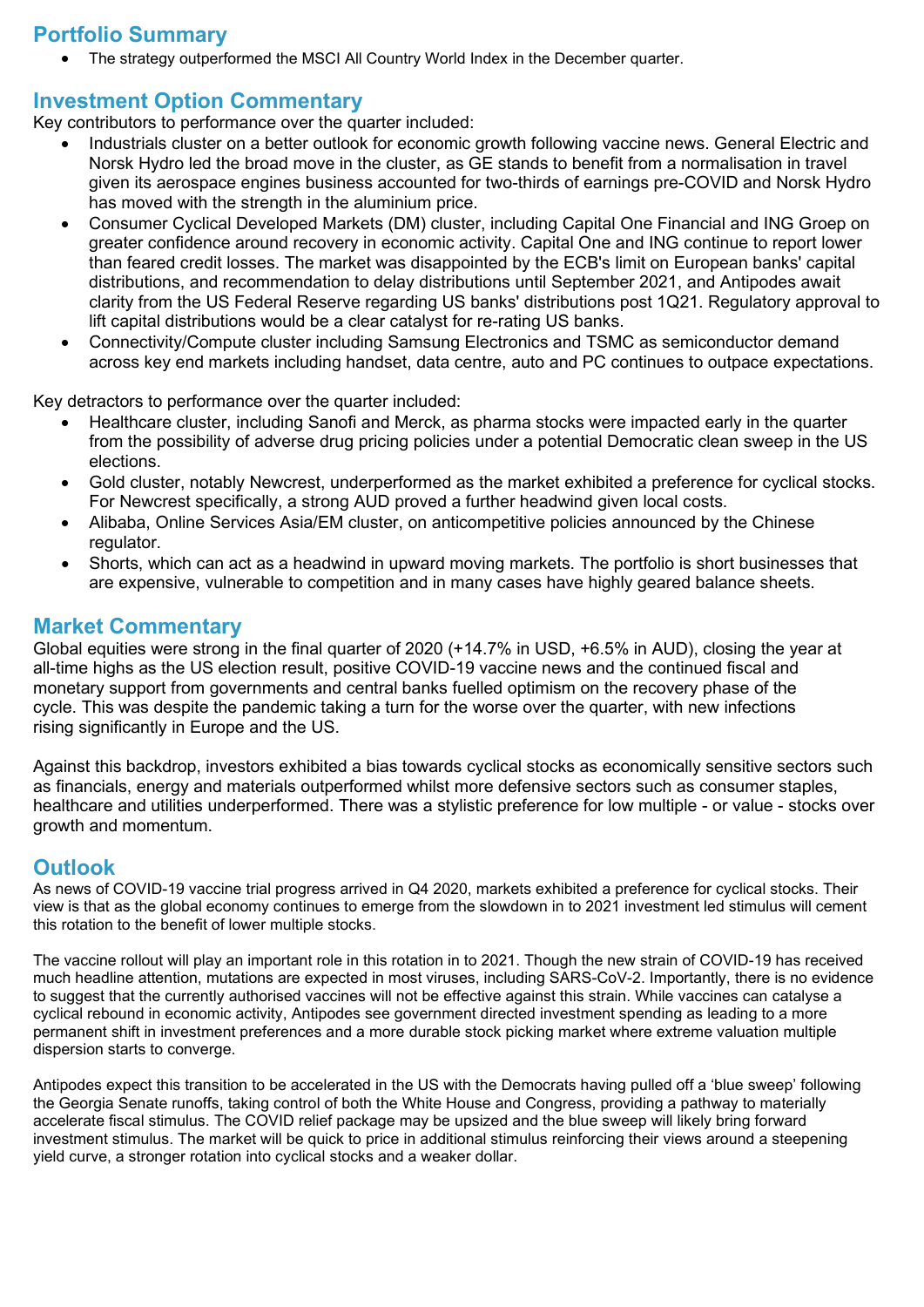## **Portfolio Summary**

• The strategy outperformed the MSCI All Country World Index in the December quarter.

### **Investment Option Commentary**

Key contributors to performance over the quarter included:

- Industrials cluster on a better outlook for economic growth following vaccine news. General Electric and Norsk Hydro led the broad move in the cluster, as GE stands to benefit from a normalisation in travel given its aerospace engines business accounted for two-thirds of earnings pre-COVID and Norsk Hydro has moved with the strength in the aluminium price.
- Consumer Cyclical Developed Markets (DM) cluster, including Capital One Financial and ING Groep on greater confidence around recovery in economic activity. Capital One and ING continue to report lower than feared credit losses. The market was disappointed by the ECB's limit on European banks' capital distributions, and recommendation to delay distributions until September 2021, and Antipodes await clarity from the US Federal Reserve regarding US banks' distributions post 1Q21. Regulatory approval to lift capital distributions would be a clear catalyst for re-rating US banks.
- Connectivity/Compute cluster including Samsung Electronics and TSMC as semiconductor demand across key end markets including handset, data centre, auto and PC continues to outpace expectations.

Key detractors to performance over the quarter included:

- Healthcare cluster, including Sanofi and Merck, as pharma stocks were impacted early in the quarter from the possibility of adverse drug pricing policies under a potential Democratic clean sweep in the US elections.
- Gold cluster, notably Newcrest, underperformed as the market exhibited a preference for cyclical stocks. For Newcrest specifically, a strong AUD proved a further headwind given local costs.
- Alibaba, Online Services Asia/EM cluster, on anticompetitive policies announced by the Chinese regulator.
- Shorts, which can act as a headwind in upward moving markets. The portfolio is short businesses that are expensive, vulnerable to competition and in many cases have highly geared balance sheets.

#### **Market Commentary**

Global equities were strong in the final quarter of 2020 (+14.7% in USD, +6.5% in AUD), closing the year at all-time highs as the US election result, positive COVID-19 vaccine news and the continued fiscal and monetary support from governments and central banks fuelled optimism on the recovery phase of the cycle. This was despite the pandemic taking a turn for the worse over the quarter, with new infections rising significantly in Europe and the US.

Against this backdrop, investors exhibited a bias towards cyclical stocks as economically sensitive sectors such as financials, energy and materials outperformed whilst more defensive sectors such as consumer staples, healthcare and utilities underperformed. There was a stylistic preference for low multiple - or value - stocks over growth and momentum.

#### **Outlook**

As news of COVID-19 vaccine trial progress arrived in Q4 2020, markets exhibited a preference for cyclical stocks. Their view is that as the global economy continues to emerge from the slowdown in to 2021 investment led stimulus will cement this rotation to the benefit of lower multiple stocks.

The vaccine rollout will play an important role in this rotation in to 2021. Though the new strain of COVID-19 has received much headline attention, mutations are expected in most viruses, including SARS-CoV-2. Importantly, there is no evidence to suggest that the currently authorised vaccines will not be effective against this strain. While vaccines can catalyse a cyclical rebound in economic activity, Antipodes see government directed investment spending as leading to a more permanent shift in investment preferences and a more durable stock picking market where extreme valuation multiple dispersion starts to converge.

Antipodes expect this transition to be accelerated in the US with the Democrats having pulled off a 'blue sweep' following the Georgia Senate runoffs, taking control of both the White House and Congress, providing a pathway to materially accelerate fiscal stimulus. The COVID relief package may be upsized and the blue sweep will likely bring forward investment stimulus. The market will be quick to price in additional stimulus reinforcing their views around a steepening yield curve, a stronger rotation into cyclical stocks and a weaker dollar.